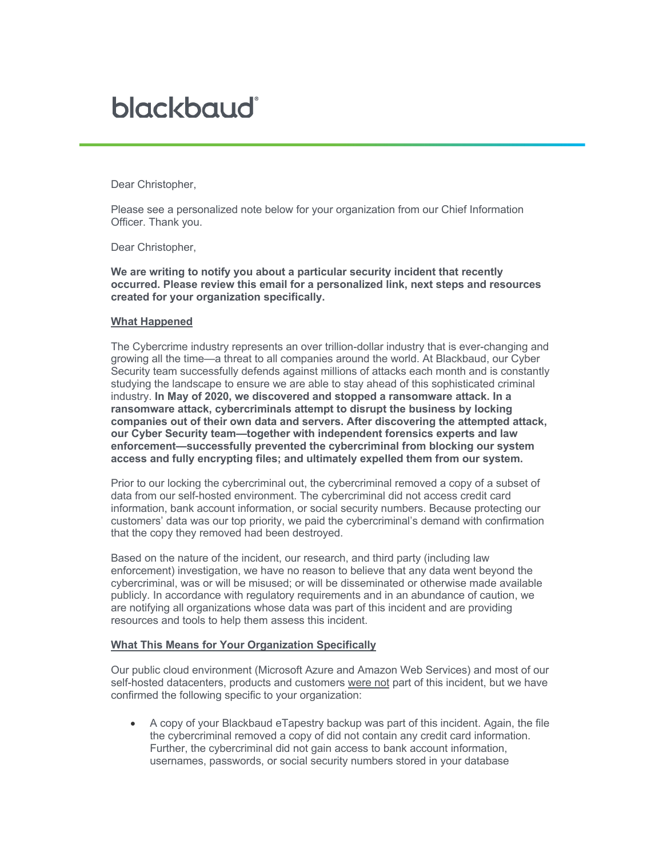## blackbaud<sup>®</sup>

Dear Christopher,

Please see a personalized note below for your organization from our Chief Information Officer. Thank you.

Dear Christopher,

**We are writing to notify you about a particular security incident that recently occurred. Please review this email for a personalized link, next steps and resources created for your organization specifically.**

## **What Happened**

The Cybercrime industry represents an over trillion-dollar industry that is ever-changing and growing all the time—a threat to all companies around the world. At Blackbaud, our Cyber Security team successfully defends against millions of attacks each month and is constantly studying the landscape to ensure we are able to stay ahead of this sophisticated criminal industry. **In May of 2020, we discovered and stopped a ransomware attack. In a ransomware attack, cybercriminals attempt to disrupt the business by locking companies out of their own data and servers. After discovering the attempted attack, our Cyber Security team—together with independent forensics experts and law enforcement—successfully prevented the cybercriminal from blocking our system access and fully encrypting files; and ultimately expelled them from our system.**

Prior to our locking the cybercriminal out, the cybercriminal removed a copy of a subset of data from our self-hosted environment. The cybercriminal did not access credit card information, bank account information, or social security numbers. Because protecting our customers' data was our top priority, we paid the cybercriminal's demand with confirmation that the copy they removed had been destroyed.

Based on the nature of the incident, our research, and third party (including law enforcement) investigation, we have no reason to believe that any data went beyond the cybercriminal, was or will be misused; or will be disseminated or otherwise made available publicly. In accordance with regulatory requirements and in an abundance of caution, we are notifying all organizations whose data was part of this incident and are providing resources and tools to help them assess this incident.

## **What This Means for Your Organization Specifically**

Our public cloud environment (Microsoft Azure and Amazon Web Services) and most of our self-hosted datacenters, products and customers were not part of this incident, but we have confirmed the following specific to your organization:

• A copy of your Blackbaud eTapestry backup was part of this incident. Again, the file the cybercriminal removed a copy of did not contain any credit card information. Further, the cybercriminal did not gain access to bank account information, usernames, passwords, or social security numbers stored in your database